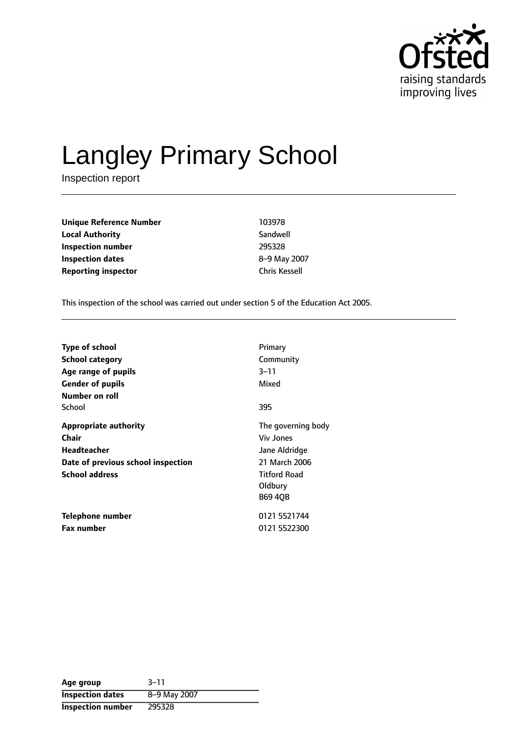

# Langley Primary School

Inspection report

**Unique Reference Number** 103978 **Local Authority** Sandwell **Inspection number** 295328 **Inspection dates** 8-9 May 2007 **Reporting inspector** Chris Kessell

This inspection of the school was carried out under section 5 of the Education Act 2005.

| <b>Type of school</b><br><b>School category</b><br>Age range of pupils<br><b>Gender of pupils</b><br>Number on roll        | Primary<br>Community<br>$3 - 11$<br>Mixed                                                                                    |
|----------------------------------------------------------------------------------------------------------------------------|------------------------------------------------------------------------------------------------------------------------------|
| School                                                                                                                     | 395                                                                                                                          |
| <b>Appropriate authority</b><br>Chair<br><b>Headteacher</b><br>Date of previous school inspection<br><b>School address</b> | The governing body<br><b>Viv Jones</b><br>Jane Aldridge<br>21 March 2006<br><b>Titford Road</b><br>Oldbury<br><b>B69 40B</b> |
| Telephone number<br><b>Fax number</b>                                                                                      | 0121 5521744<br>0121 5522300                                                                                                 |

| Age group                | $3 - 11$     |
|--------------------------|--------------|
| <b>Inspection dates</b>  | 8-9 May 2007 |
| <b>Inspection number</b> | 295328       |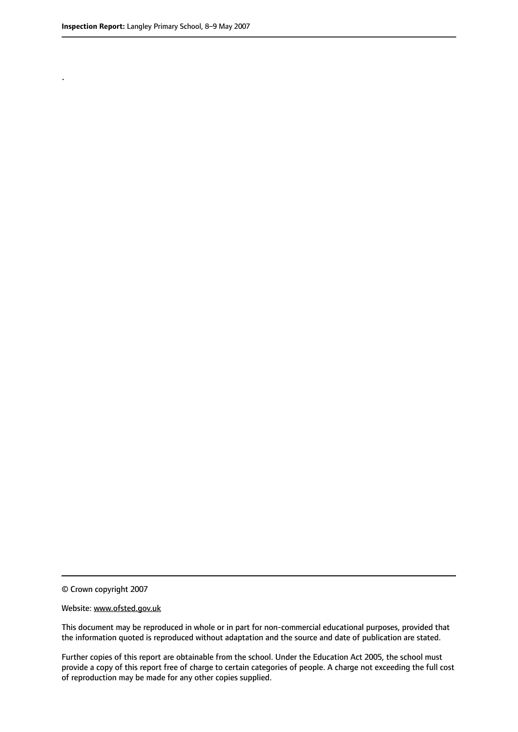.

© Crown copyright 2007

#### Website: www.ofsted.gov.uk

This document may be reproduced in whole or in part for non-commercial educational purposes, provided that the information quoted is reproduced without adaptation and the source and date of publication are stated.

Further copies of this report are obtainable from the school. Under the Education Act 2005, the school must provide a copy of this report free of charge to certain categories of people. A charge not exceeding the full cost of reproduction may be made for any other copies supplied.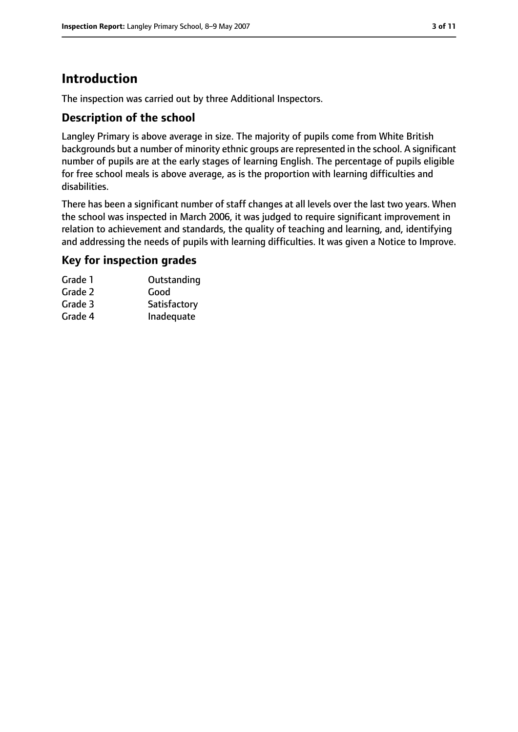## **Introduction**

The inspection was carried out by three Additional Inspectors.

#### **Description of the school**

Langley Primary is above average in size. The majority of pupils come from White British backgrounds but a number of minority ethnic groups are represented in the school. A significant number of pupils are at the early stages of learning English. The percentage of pupils eligible for free school meals is above average, as is the proportion with learning difficulties and disabilities.

There has been a significant number of staff changes at all levels over the last two years. When the school was inspected in March 2006, it was judged to require significant improvement in relation to achievement and standards, the quality of teaching and learning, and, identifying and addressing the needs of pupils with learning difficulties. It was given a Notice to Improve.

#### **Key for inspection grades**

| Outstanding  |
|--------------|
| Good         |
| Satisfactory |
| Inadequate   |
|              |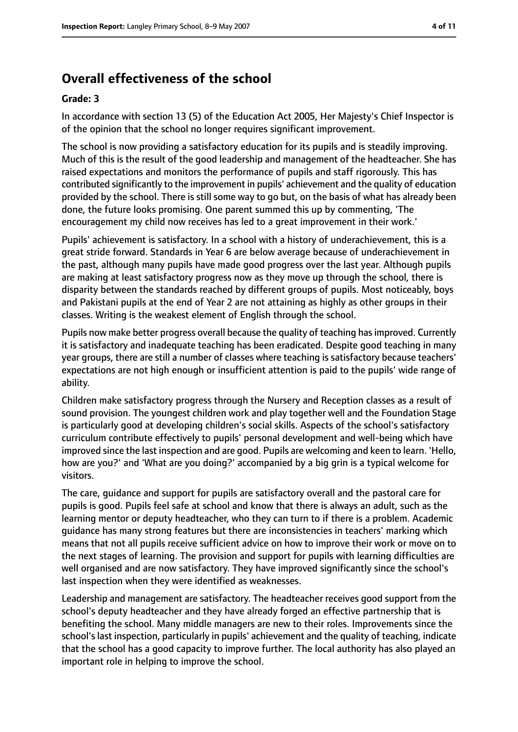## **Overall effectiveness of the school**

#### **Grade: 3**

In accordance with section 13 (5) of the Education Act 2005, Her Majesty's Chief Inspector is of the opinion that the school no longer requires significant improvement.

The school is now providing a satisfactory education for its pupils and is steadily improving. Much of this is the result of the good leadership and management of the headteacher. She has raised expectations and monitors the performance of pupils and staff rigorously. This has contributed significantly to the improvement in pupils' achievement and the quality of education provided by the school. There is still some way to go but, on the basis of what has already been done, the future looks promising. One parent summed this up by commenting, 'The encouragement my child now receives has led to a great improvement in their work.'

Pupils' achievement is satisfactory. In a school with a history of underachievement, this is a great stride forward. Standards in Year 6 are below average because of underachievement in the past, although many pupils have made good progress over the last year. Although pupils are making at least satisfactory progress now as they move up through the school, there is disparity between the standards reached by different groups of pupils. Most noticeably, boys and Pakistani pupils at the end of Year 2 are not attaining as highly as other groups in their classes. Writing is the weakest element of English through the school.

Pupils now make better progress overall because the quality of teaching hasimproved. Currently it is satisfactory and inadequate teaching has been eradicated. Despite good teaching in many year groups, there are still a number of classes where teaching is satisfactory because teachers' expectations are not high enough or insufficient attention is paid to the pupils' wide range of ability.

Children make satisfactory progress through the Nursery and Reception classes as a result of sound provision. The youngest children work and play together well and the Foundation Stage is particularly good at developing children's social skills. Aspects of the school's satisfactory curriculum contribute effectively to pupils' personal development and well-being which have improved since the last inspection and are good. Pupils are welcoming and keen to learn. 'Hello, how are you?' and 'What are you doing?' accompanied by a big grin is a typical welcome for visitors.

The care, guidance and support for pupils are satisfactory overall and the pastoral care for pupils is good. Pupils feel safe at school and know that there is always an adult, such as the learning mentor or deputy headteacher, who they can turn to if there is a problem. Academic guidance has many strong features but there are inconsistencies in teachers' marking which means that not all pupils receive sufficient advice on how to improve their work or move on to the next stages of learning. The provision and support for pupils with learning difficulties are well organised and are now satisfactory. They have improved significantly since the school's last inspection when they were identified as weaknesses.

Leadership and management are satisfactory. The headteacher receives good support from the school's deputy headteacher and they have already forged an effective partnership that is benefiting the school. Many middle managers are new to their roles. Improvements since the school's last inspection, particularly in pupils' achievement and the quality of teaching, indicate that the school has a good capacity to improve further. The local authority has also played an important role in helping to improve the school.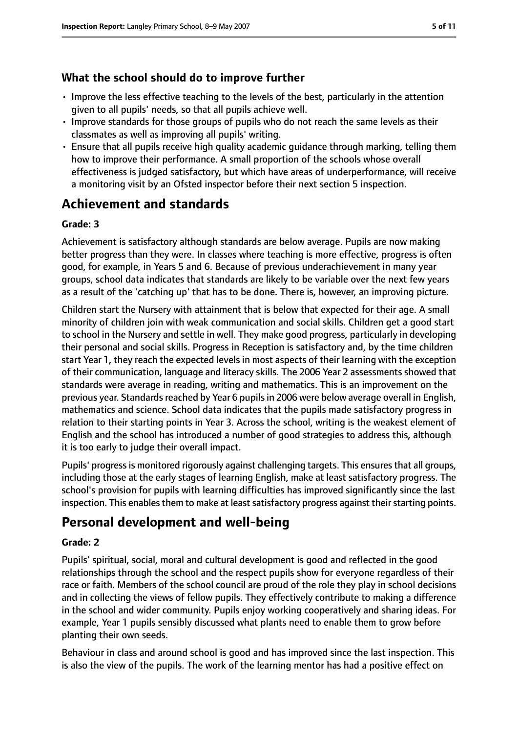### **What the school should do to improve further**

- Improve the less effective teaching to the levels of the best, particularly in the attention given to all pupils' needs, so that all pupils achieve well.
- Improve standards for those groups of pupils who do not reach the same levels as their classmates as well as improving all pupils' writing.
- Ensure that all pupils receive high quality academic guidance through marking, telling them how to improve their performance. A small proportion of the schools whose overall effectiveness is judged satisfactory, but which have areas of underperformance, will receive a monitoring visit by an Ofsted inspector before their next section 5 inspection.

## **Achievement and standards**

#### **Grade: 3**

Achievement is satisfactory although standards are below average. Pupils are now making better progress than they were. In classes where teaching is more effective, progress is often good, for example, in Years 5 and 6. Because of previous underachievement in many year groups, school data indicates that standards are likely to be variable over the next few years as a result of the 'catching up' that has to be done. There is, however, an improving picture.

Children start the Nursery with attainment that is below that expected for their age. A small minority of children join with weak communication and social skills. Children get a good start to school in the Nursery and settle in well. They make good progress, particularly in developing their personal and social skills. Progress in Reception is satisfactory and, by the time children start Year 1, they reach the expected levels in most aspects of their learning with the exception of their communication, language and literacy skills. The 2006 Year 2 assessments showed that standards were average in reading, writing and mathematics. This is an improvement on the previous year. Standards reached by Year 6 pupils in 2006 were below average overall in English, mathematics and science. School data indicates that the pupils made satisfactory progress in relation to their starting points in Year 3. Across the school, writing is the weakest element of English and the school has introduced a number of good strategies to address this, although it is too early to judge their overall impact.

Pupils' progress is monitored rigorously against challenging targets. This ensures that all groups, including those at the early stages of learning English, make at least satisfactory progress. The school's provision for pupils with learning difficulties has improved significantly since the last inspection. This enables them to make at least satisfactory progress against their starting points.

## **Personal development and well-being**

#### **Grade: 2**

Pupils' spiritual, social, moral and cultural development is good and reflected in the good relationships through the school and the respect pupils show for everyone regardless of their race or faith. Members of the school council are proud of the role they play in school decisions and in collecting the views of fellow pupils. They effectively contribute to making a difference in the school and wider community. Pupils enjoy working cooperatively and sharing ideas. For example, Year 1 pupils sensibly discussed what plants need to enable them to grow before planting their own seeds.

Behaviour in class and around school is good and has improved since the last inspection. This is also the view of the pupils. The work of the learning mentor has had a positive effect on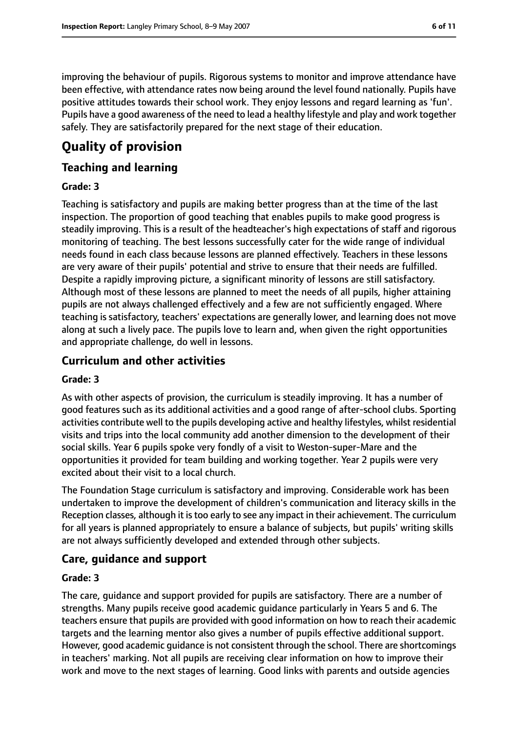improving the behaviour of pupils. Rigorous systems to monitor and improve attendance have been effective, with attendance rates now being around the level found nationally. Pupils have positive attitudes towards their school work. They enjoy lessons and regard learning as 'fun'. Pupils have a good awareness of the need to lead a healthy lifestyle and play and work together safely. They are satisfactorily prepared for the next stage of their education.

# **Quality of provision**

#### **Teaching and learning**

#### **Grade: 3**

Teaching is satisfactory and pupils are making better progress than at the time of the last inspection. The proportion of good teaching that enables pupils to make good progress is steadily improving. This is a result of the headteacher's high expectations of staff and rigorous monitoring of teaching. The best lessons successfully cater for the wide range of individual needs found in each class because lessons are planned effectively. Teachers in these lessons are very aware of their pupils' potential and strive to ensure that their needs are fulfilled. Despite a rapidly improving picture, a significant minority of lessons are still satisfactory. Although most of these lessons are planned to meet the needs of all pupils, higher attaining pupils are not always challenged effectively and a few are not sufficiently engaged. Where teaching is satisfactory, teachers' expectations are generally lower, and learning does not move along at such a lively pace. The pupils love to learn and, when given the right opportunities and appropriate challenge, do well in lessons.

#### **Curriculum and other activities**

#### **Grade: 3**

As with other aspects of provision, the curriculum is steadily improving. It has a number of good features such as its additional activities and a good range of after-school clubs. Sporting activities contribute well to the pupils developing active and healthy lifestyles, whilst residential visits and trips into the local community add another dimension to the development of their social skills. Year 6 pupils spoke very fondly of a visit to Weston-super-Mare and the opportunities it provided for team building and working together. Year 2 pupils were very excited about their visit to a local church.

The Foundation Stage curriculum is satisfactory and improving. Considerable work has been undertaken to improve the development of children's communication and literacy skills in the Reception classes, although it is too early to see any impact in their achievement. The curriculum for all years is planned appropriately to ensure a balance of subjects, but pupils' writing skills are not always sufficiently developed and extended through other subjects.

#### **Care, guidance and support**

#### **Grade: 3**

The care, guidance and support provided for pupils are satisfactory. There are a number of strengths. Many pupils receive good academic guidance particularly in Years 5 and 6. The teachers ensure that pupils are provided with good information on how to reach their academic targets and the learning mentor also gives a number of pupils effective additional support. However, good academic guidance is not consistent through the school. There are shortcomings in teachers' marking. Not all pupils are receiving clear information on how to improve their work and move to the next stages of learning. Good links with parents and outside agencies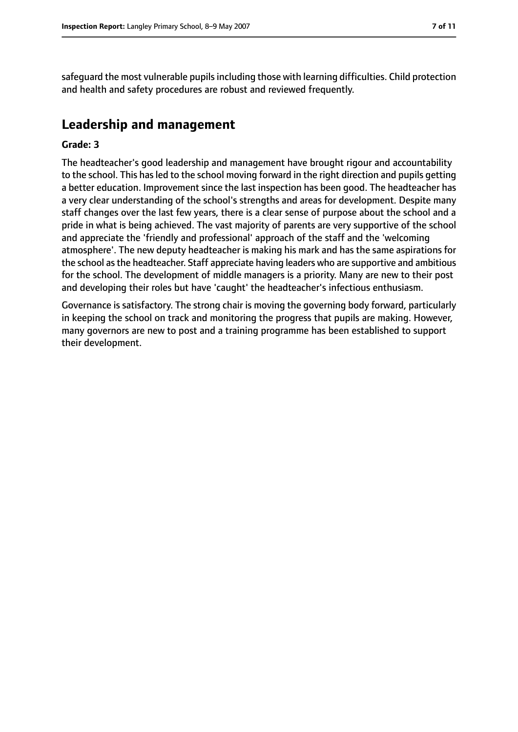safeguard the most vulnerable pupils including those with learning difficulties. Child protection and health and safety procedures are robust and reviewed frequently.

## **Leadership and management**

#### **Grade: 3**

The headteacher's good leadership and management have brought rigour and accountability to the school. This has led to the school moving forward in the right direction and pupils getting a better education. Improvement since the last inspection has been good. The headteacher has a very clear understanding of the school's strengths and areas for development. Despite many staff changes over the last few years, there is a clear sense of purpose about the school and a pride in what is being achieved. The vast majority of parents are very supportive of the school and appreciate the 'friendly and professional' approach of the staff and the 'welcoming atmosphere'. The new deputy headteacher is making his mark and has the same aspirations for the school asthe headteacher. Staff appreciate having leaders who are supportive and ambitious for the school. The development of middle managers is a priority. Many are new to their post and developing their roles but have 'caught' the headteacher's infectious enthusiasm.

Governance is satisfactory. The strong chair is moving the governing body forward, particularly in keeping the school on track and monitoring the progress that pupils are making. However, many governors are new to post and a training programme has been established to support their development.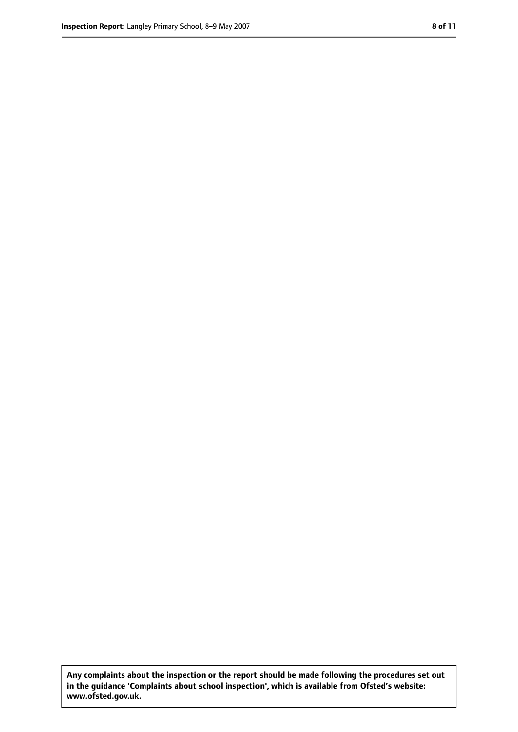**Any complaints about the inspection or the report should be made following the procedures set out in the guidance 'Complaints about school inspection', which is available from Ofsted's website: www.ofsted.gov.uk.**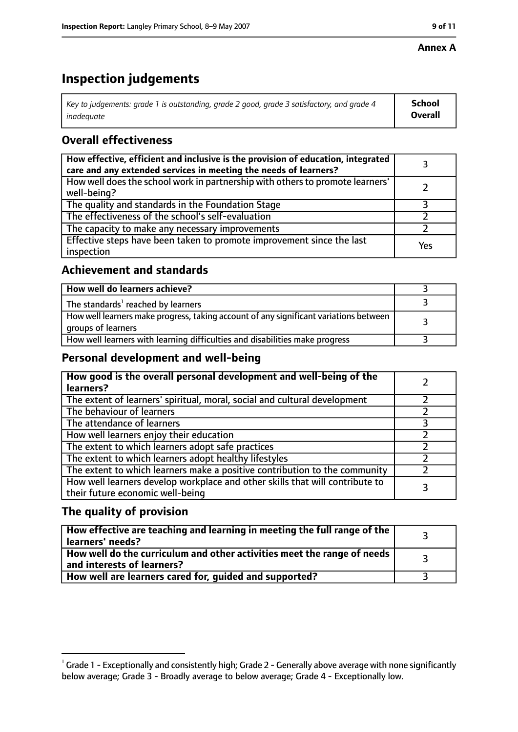#### **Annex A**

# **Inspection judgements**

| Key to judgements: grade 1 is outstanding, grade 2 good, grade 3 satisfactory, and grade 4 $\,$ | <b>School</b>  |
|-------------------------------------------------------------------------------------------------|----------------|
| inadequate                                                                                      | <b>Overall</b> |

## **Overall effectiveness**

| How effective, efficient and inclusive is the provision of education, integrated<br>care and any extended services in meeting the needs of learners? |     |
|------------------------------------------------------------------------------------------------------------------------------------------------------|-----|
| How well does the school work in partnership with others to promote learners'<br>well-being?                                                         |     |
| The quality and standards in the Foundation Stage                                                                                                    |     |
| The effectiveness of the school's self-evaluation                                                                                                    |     |
| The capacity to make any necessary improvements                                                                                                      |     |
| Effective steps have been taken to promote improvement since the last<br>inspection                                                                  | Yes |

### **Achievement and standards**

| How well do learners achieve?                                                                               |  |
|-------------------------------------------------------------------------------------------------------------|--|
| The standards <sup>1</sup> reached by learners                                                              |  |
| How well learners make progress, taking account of any significant variations between<br>groups of learners |  |
| How well learners with learning difficulties and disabilities make progress                                 |  |

### **Personal development and well-being**

| How good is the overall personal development and well-being of the<br>learners?                                  |  |
|------------------------------------------------------------------------------------------------------------------|--|
| The extent of learners' spiritual, moral, social and cultural development                                        |  |
| The behaviour of learners                                                                                        |  |
| The attendance of learners                                                                                       |  |
| How well learners enjoy their education                                                                          |  |
| The extent to which learners adopt safe practices                                                                |  |
| The extent to which learners adopt healthy lifestyles                                                            |  |
| The extent to which learners make a positive contribution to the community                                       |  |
| How well learners develop workplace and other skills that will contribute to<br>their future economic well-being |  |

## **The quality of provision**

| How effective are teaching and learning in meeting the full range of the<br>learners' needs?          |  |
|-------------------------------------------------------------------------------------------------------|--|
| How well do the curriculum and other activities meet the range of needs<br>and interests of learners? |  |
| How well are learners cared for, guided and supported?                                                |  |

 $^1$  Grade 1 - Exceptionally and consistently high; Grade 2 - Generally above average with none significantly below average; Grade 3 - Broadly average to below average; Grade 4 - Exceptionally low.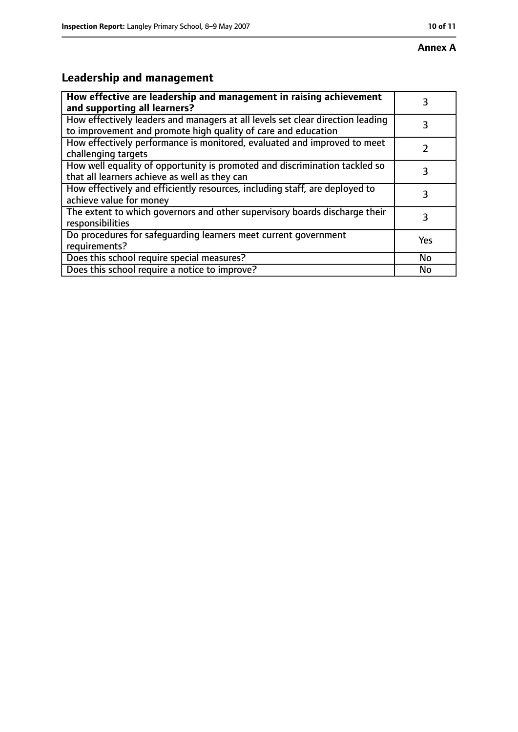# **Leadership and management**

| How effective are leadership and management in raising achievement<br>and supporting all learners?                                              | 3   |
|-------------------------------------------------------------------------------------------------------------------------------------------------|-----|
| How effectively leaders and managers at all levels set clear direction leading<br>to improvement and promote high quality of care and education |     |
| How effectively performance is monitored, evaluated and improved to meet<br>challenging targets                                                 |     |
| How well equality of opportunity is promoted and discrimination tackled so<br>that all learners achieve as well as they can                     | 3   |
| How effectively and efficiently resources, including staff, are deployed to<br>achieve value for money                                          | 3   |
| The extent to which governors and other supervisory boards discharge their<br>responsibilities                                                  | 3   |
| Do procedures for safequarding learners meet current government<br>requirements?                                                                | Yes |
| Does this school require special measures?                                                                                                      | No  |
| Does this school require a notice to improve?                                                                                                   | No  |